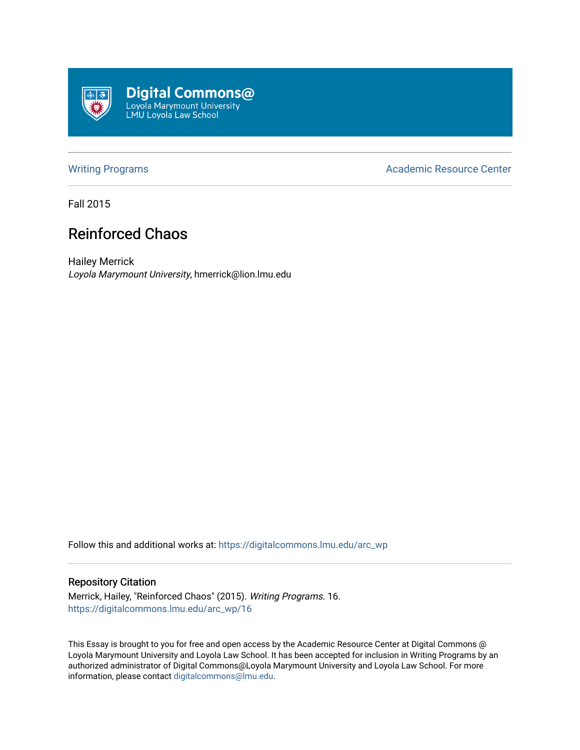

[Writing Programs](https://digitalcommons.lmu.edu/arc_wp) **Academic Resource Center** Academic Resource Center

Fall 2015

## Reinforced Chaos

Hailey Merrick Loyola Marymount University, hmerrick@lion.lmu.edu

Follow this and additional works at: [https://digitalcommons.lmu.edu/arc\\_wp](https://digitalcommons.lmu.edu/arc_wp?utm_source=digitalcommons.lmu.edu%2Farc_wp%2F16&utm_medium=PDF&utm_campaign=PDFCoverPages)

## Repository Citation

Merrick, Hailey, "Reinforced Chaos" (2015). Writing Programs. 16. [https://digitalcommons.lmu.edu/arc\\_wp/16](https://digitalcommons.lmu.edu/arc_wp/16?utm_source=digitalcommons.lmu.edu%2Farc_wp%2F16&utm_medium=PDF&utm_campaign=PDFCoverPages) 

This Essay is brought to you for free and open access by the Academic Resource Center at Digital Commons @ Loyola Marymount University and Loyola Law School. It has been accepted for inclusion in Writing Programs by an authorized administrator of Digital Commons@Loyola Marymount University and Loyola Law School. For more information, please contact [digitalcommons@lmu.edu.](mailto:digitalcommons@lmu.edu)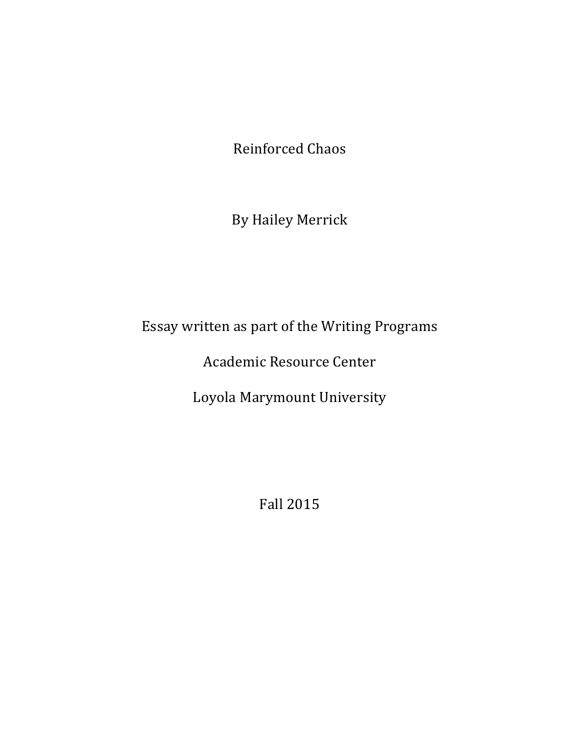Reinforced Chaos

By Hailey Merrick

Essay written as part of the Writing Programs

Academic Resource Center

Loyola Marymount University

Fall 2015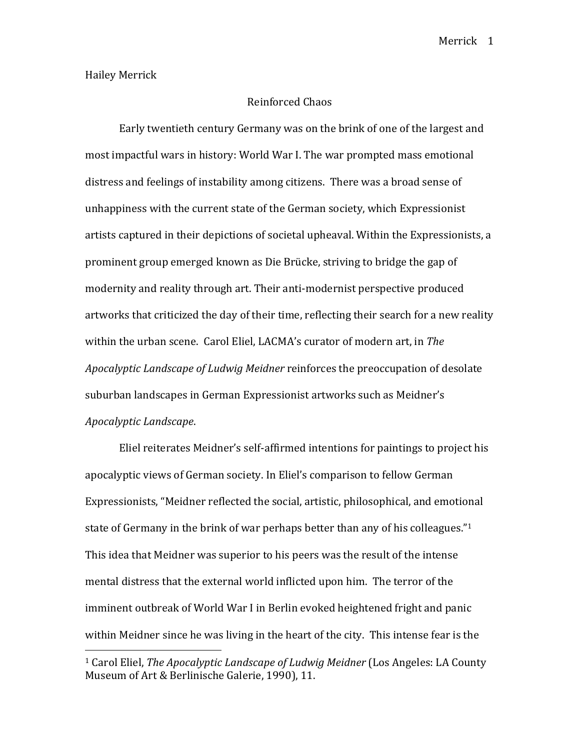## Reinforced Chaos

Early twentieth century Germany was on the brink of one of the largest and most impactful wars in history: World War I. The war prompted mass emotional distress and feelings of instability among citizens. There was a broad sense of unhappiness with the current state of the German society, which Expressionist artists captured in their depictions of societal upheaval. Within the Expressionists, a prominent group emerged known as Die Brücke, striving to bridge the gap of modernity and reality through art. Their anti-modernist perspective produced artworks that criticized the day of their time, reflecting their search for a new reality within the urban scene. Carol Eliel, LACMA's curator of modern art, in *The Apocalyptic Landscape of Ludwig Meidner* reinforces the preoccupation of desolate suburban landscapes in German Expressionist artworks such as Meidner's *Apocalyptic Landscape*.

Eliel reiterates Meidner's self-affirmed intentions for paintings to project his apocalyptic views of German society. In Eliel's comparison to fellow German Expressionists, "Meidner reflected the social, artistic, philosophical, and emotional state of Germany in the brink of war perhaps better than any of his colleagues." $1$ This idea that Meidner was superior to his peers was the result of the intense mental distress that the external world inflicted upon him. The terror of the imminent outbreak of World War I in Berlin evoked heightened fright and panic within Meidner since he was living in the heart of the city. This intense fear is the

 

<sup>&</sup>lt;sup>1</sup> Carol Eliel, *The Apocalyptic Landscape of Ludwig Meidner* (Los Angeles: LA County Museum of Art & Berlinische Galerie, 1990), 11.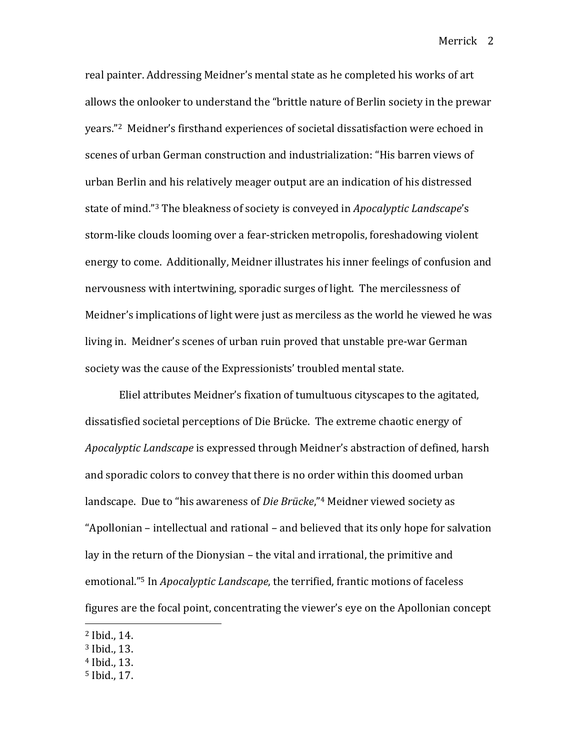Merrick 2

real painter. Addressing Meidner's mental state as he completed his works of art allows the onlooker to understand the "brittle nature of Berlin society in the prewar years."<sup>2</sup> Meidner's firsthand experiences of societal dissatisfaction were echoed in scenes of urban German construction and industrialization: "His barren views of urban Berlin and his relatively meager output are an indication of his distressed state of mind."<sup>3</sup> The bleakness of society is conveyed in *Apocalyptic Landscape*'s storm-like clouds looming over a fear-stricken metropolis, foreshadowing violent energy to come. Additionally, Meidner illustrates his inner feelings of confusion and nervousness with intertwining, sporadic surges of light. The mercilessness of Meidner's implications of light were just as merciless as the world he viewed he was living in. Meidner's scenes of urban ruin proved that unstable pre-war German society was the cause of the Expressionists' troubled mental state.

Eliel attributes Meidner's fixation of tumultuous cityscapes to the agitated, dissatisfied societal perceptions of Die Brücke. The extreme chaotic energy of *Apocalyptic Landscape* is expressed through Meidner's abstraction of defined, harsh and sporadic colors to convey that there is no order within this doomed urban landscape. Due to "his awareness of *Die Brücke*,"<sup>4</sup> Meidner viewed society as "Apollonian – intellectual and rational – and believed that its only hope for salvation lay in the return of the Dionysian – the vital and irrational, the primitive and emotional."<sup>5</sup> In *Apocalyptic Landscape*, the terrified, frantic motions of faceless figures are the focal point, concentrating the viewer's eye on the Apollonian concept

 

<sup>5</sup> Ibid., 17.

 $2$  Ibid., 14.

 $3$  Ibid., 13.

<sup>&</sup>lt;sup>4</sup> Ibid., 13.